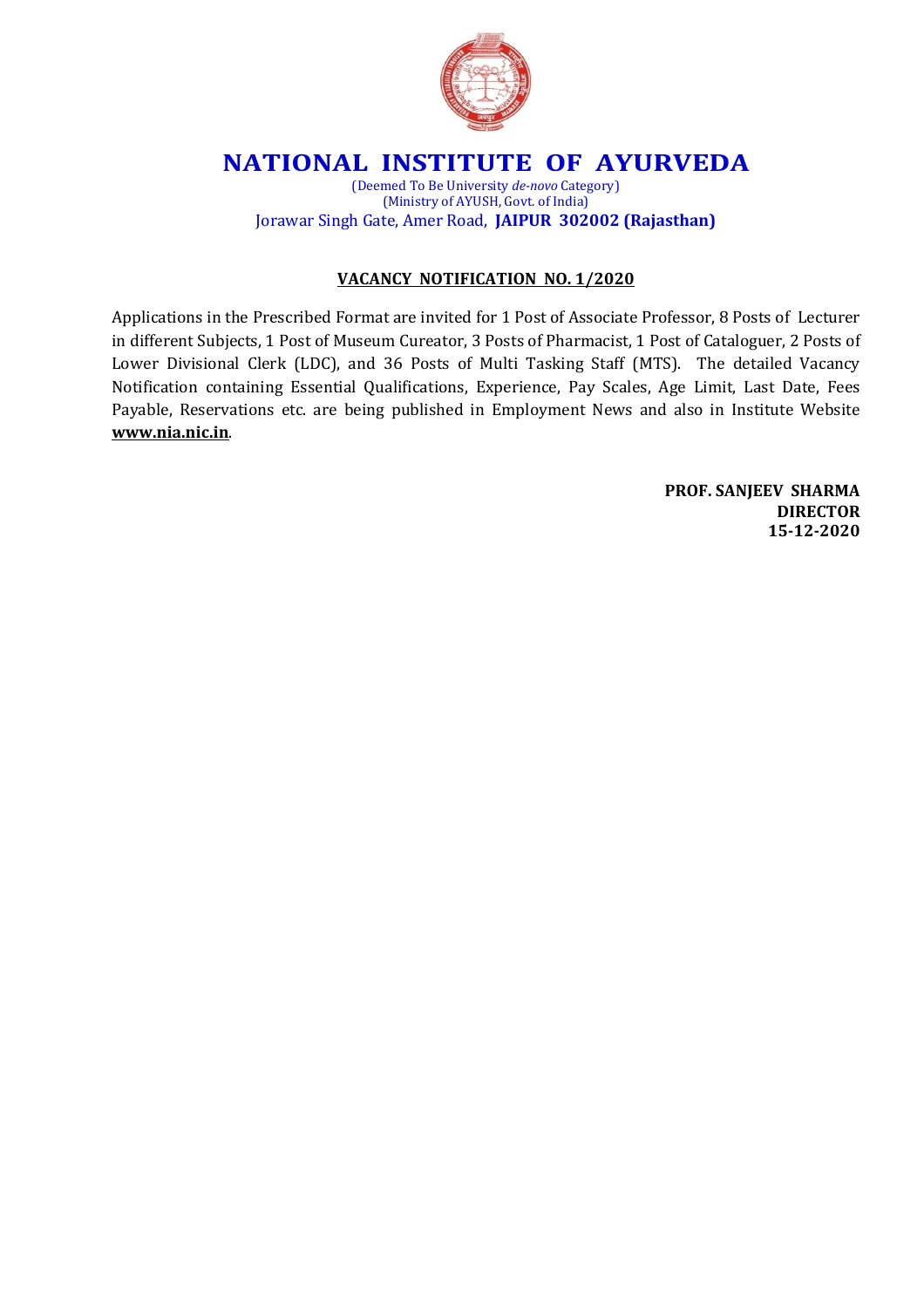

## **NATIONAL INSTITUTE OF AYURVEDA**

(Deemed To Be University *de-novo* Category) (Ministry of AYUSH, Govt. of India) Jorawar Singh Gate, Amer Road, **JAIPUR 302002 (Rajasthan)**

#### **VACANCY NOTIFICATION NO. 1/2020**

Applications in the Prescribed Format are invited for 1 Post of Associate Professor, 8 Posts of Lecturer in different Subjects, 1 Post of Museum Cureator, 3 Posts of Pharmacist, 1 Post of Cataloguer, 2 Posts of Lower Divisional Clerk (LDC), and 36 Posts of Multi Tasking Staff (MTS). The detailed Vacancy Notification containing Essential Qualifications, Experience, Pay Scales, Age Limit, Last Date, Fees Payable, Reservations etc. are being published in Employment News and also in Institute Website **www.nia.nic.in**.

> **PROF. SANJEEV SHARMA DIRECTOR 15-12-2020**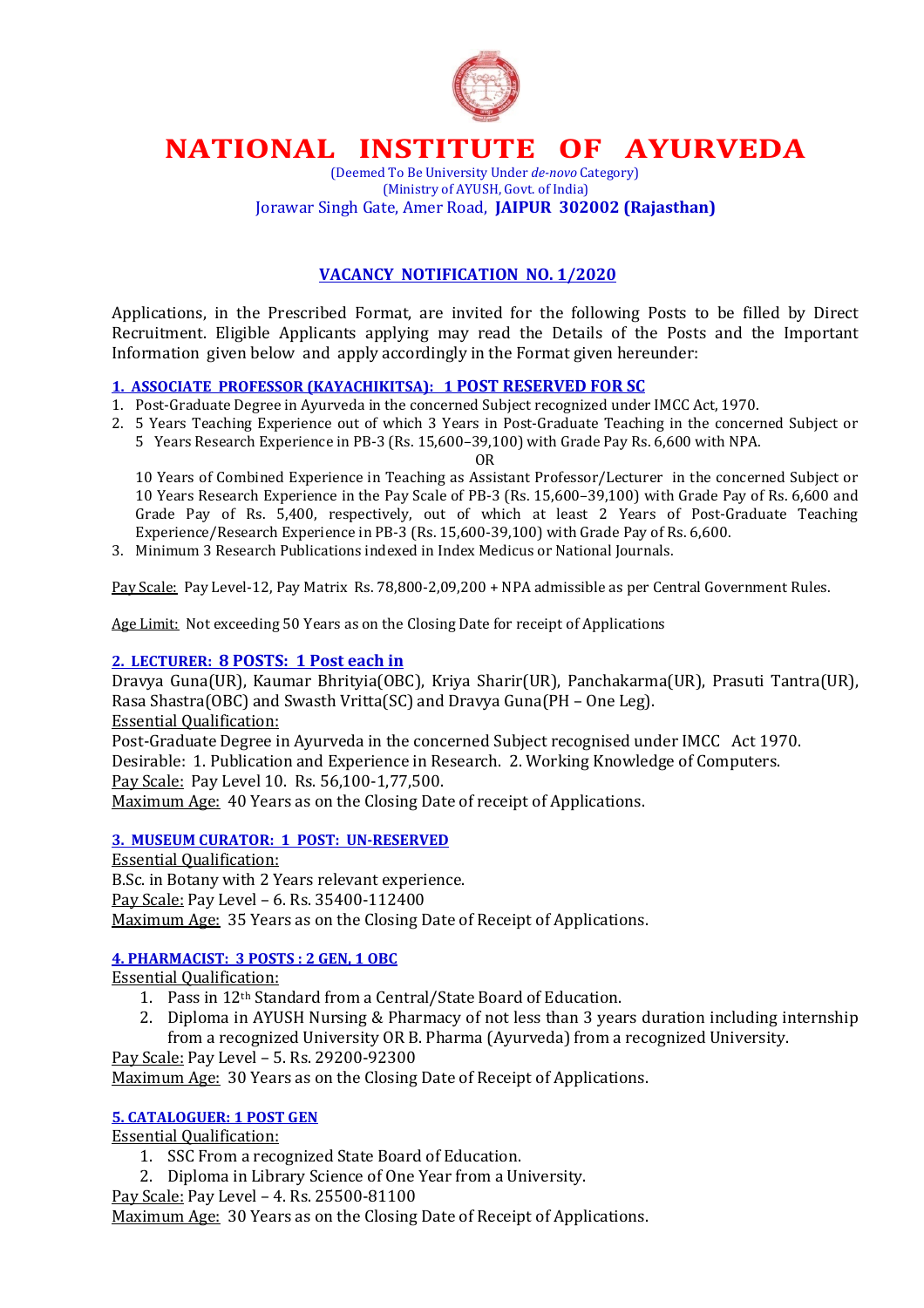

## **NATIONAL INSTITUTE OF AYURVEDA**

(Deemed To Be University Under *de-novo* Category) (Ministry of AYUSH, Govt. of India) Jorawar Singh Gate, Amer Road, **JAIPUR 302002 (Rajasthan)**

#### **VACANCY NOTIFICATION NO. 1/2020**

Applications, in the Prescribed Format, are invited for the following Posts to be filled by Direct Recruitment. Eligible Applicants applying may read the Details of the Posts and the Important Information given below and apply accordingly in the Format given hereunder:

#### **1. ASSOCIATE PROFESSOR (KAYACHIKITSA): 1 POST RESERVED FOR SC**

- 1. Post-Graduate Degree in Ayurveda in the concerned Subject recognized under IMCC Act, 1970.
- 2. 5 Years Teaching Experience out of which 3 Years in Post-Graduate Teaching in the concerned Subject or
	- 5 Years Research Experience in PB-3 (Rs. 15,600–39,100) with Grade Pay Rs. 6,600 with NPA.

OR

 10 Years of Combined Experience in Teaching as Assistant Professor/Lecturer in the concerned Subject or 10 Years Research Experience in the Pay Scale of PB-3 (Rs. 15,600–39,100) with Grade Pay of Rs. 6,600 and Grade Pay of Rs. 5,400, respectively, out of which at least 2 Years of Post-Graduate Teaching Experience/Research Experience in PB-3 (Rs. 15,600-39,100) with Grade Pay of Rs. 6,600.

3. Minimum 3 Research Publications indexed in Index Medicus or National Journals.

Pay Scale: Pay Level-12, Pay Matrix Rs. 78,800-2,09,200 + NPA admissible as per Central Government Rules.

Age Limit: Not exceeding 50 Years as on the Closing Date for receipt of Applications

#### **2. LECTURER: 8 POSTS: 1 Post each in**

Dravya Guna(UR), Kaumar Bhrityia(OBC), Kriya Sharir(UR), Panchakarma(UR), Prasuti Tantra(UR), Rasa Shastra(OBC) and Swasth Vritta(SC) and Dravya Guna(PH – One Leg). Essential Qualification: Post-Graduate Degree in Ayurveda in the concerned Subject recognised under IMCC Act 1970.

Desirable: 1. Publication and Experience in Research. 2. Working Knowledge of Computers. Pay Scale: Pay Level 10. Rs. 56,100-1,77,500.

Maximum Age: 40 Years as on the Closing Date of receipt of Applications.

#### **3. MUSEUM CURATOR: 1 POST: UN-RESERVED**

Essential Qualification: B.Sc. in Botany with 2 Years relevant experience. Pay Scale: Pay Level – 6. Rs. 35400-112400 Maximum Age: 35 Years as on the Closing Date of Receipt of Applications.

#### **4. PHARMACIST: 3 POSTS : 2 GEN, 1 OBC**

Essential Qualification:

- 1. Pass in 12th Standard from a Central/State Board of Education.
- 2. Diploma in AYUSH Nursing & Pharmacy of not less than 3 years duration including internship from a recognized University OR B. Pharma (Ayurveda) from a recognized University.

Pay Scale: Pay Level – 5. Rs. 29200-92300 Maximum Age: 30 Years as on the Closing Date of Receipt of Applications.

#### **5. CATALOGUER: 1 POST GEN**

Essential Qualification:

- 1. SSC From a recognized State Board of Education.
- 2. Diploma in Library Science of One Year from a University.

Pay Scale: Pay Level – 4. Rs. 25500-81100

Maximum Age: 30 Years as on the Closing Date of Receipt of Applications.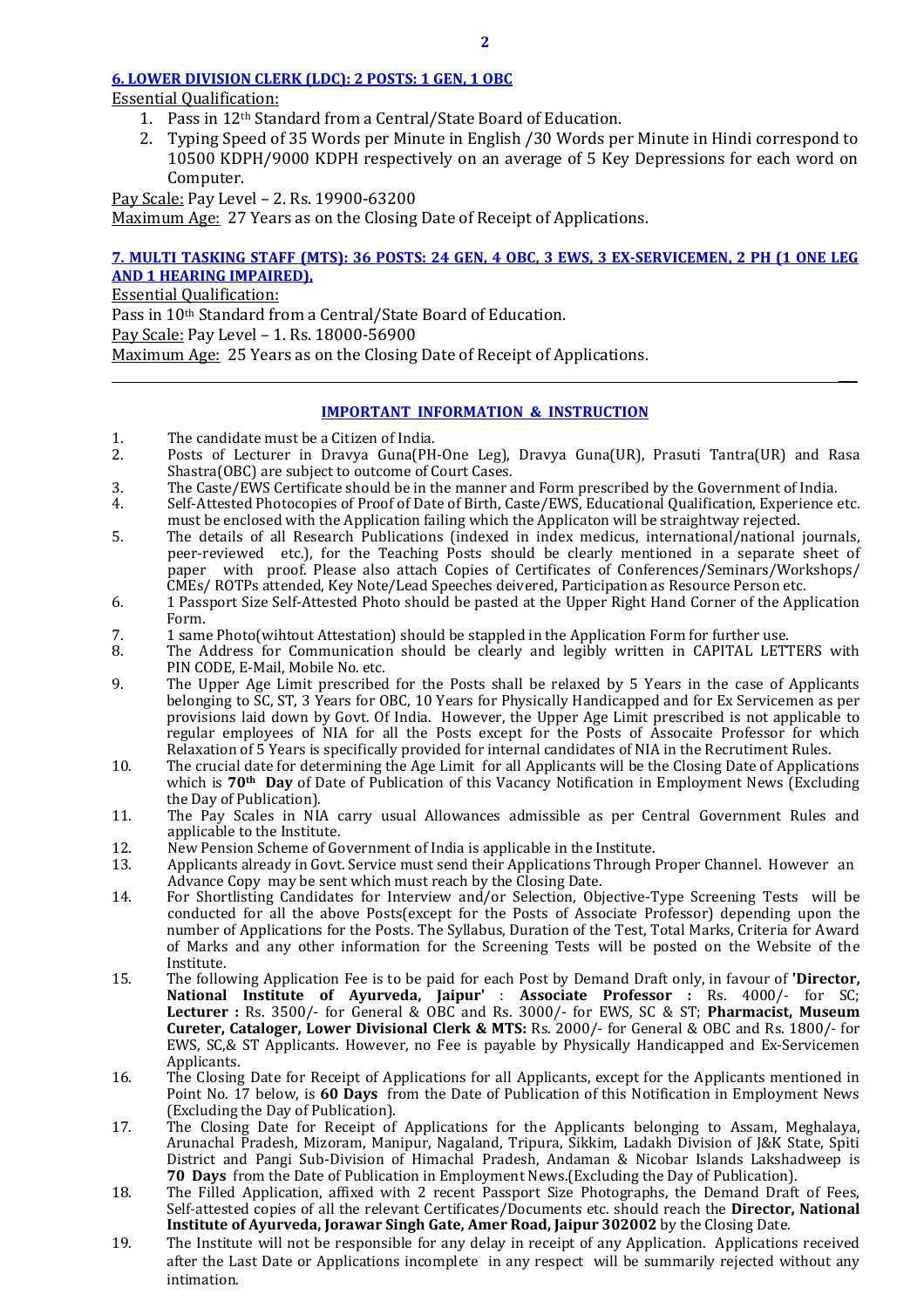#### **6. LOWER DIVISION CLERK (LDC): 2 POSTS: 1 GEN, 1 OBC**

Essential Qualification:

- 1. Pass in 12th Standard from a Central/State Board of Education.
- 2. Typing Speed of 35 Words per Minute in English /30 Words per Minute in Hindi correspond to 10500 KDPH/9000 KDPH respectively on an average of 5 Key Depressions for each word on Computer.

Pay Scale: Pay Level – 2. Rs. 19900-63200 Maximum Age: 27 Years as on the Closing Date of Receipt of Applications.

#### **7. MULTI TASKING STAFF (MTS): 36 POSTS: 24 GEN, 4 OBC, 3 EWS, 3 EX-SERVICEMEN, 2 PH (1 ONE LEG AND 1 HEARING IMPAIRED),**

Essential Qualification:

Pass in 10<sup>th</sup> Standard from a Central/State Board of Education. Pay Scale: Pay Level – 1. Rs. 18000-56900 Maximum Age: 25 Years as on the Closing Date of Receipt of Applications.  **\_\_\_**

#### **IMPORTANT INFORMATION & INSTRUCTION**

- 1. The candidate must be a Citizen of India.<br>2. Posts of Lecturer in Drayya Guna(PH
- 2. Posts of Lecturer in Dravya Guna(PH-One Leg), Dravya Guna(UR), Prasuti Tantra(UR) and Rasa Shastra(OBC) are subject to outcome of Court Cases.
- 3. The Caste/EWS Certificate should be in the manner and Form prescribed by the Government of India.
- Self-Attested Photocopies of Proof of Date of Birth, Caste/EWS, Educational Qualification, Experience etc. must be enclosed with the Application failing which the Applicaton will be straightway rejected.<br>5. The details of all Research Publications (indexed in index medicus, international/national
- 5. The details of all Research Publications (indexed in index medicus, international/national journals, peer-reviewed etc.), for the Teaching Posts should be clearly mentioned in a separate sheet of paper with proof. Please also attach Copies of Certificates of Conferences/Seminars/Workshops/ CMEs/ ROTPs attended, Key Note/Lead Speeches deivered, Participation as Resource Person etc.
- 6. 1 Passport Size Self-Attested Photo should be pasted at the Upper Right Hand Corner of the Application Form.
- 7. 1 same Photo(wihtout Attestation) should be stappled in the Application Form for further use.
- 8. The Address for Communication should be clearly and legibly written in CAPITAL LETTERS with PIN CODE, E-Mail, Mobile No. etc.
- 9. The Upper Age Limit prescribed for the Posts shall be relaxed by 5 Years in the case of Applicants belonging to SC, ST, 3 Years for OBC, 10 Years for Physically Handicapped and for Ex Servicemen as per provisions laid down by Govt. Of India. However, the Upper Age Limit prescribed is not applicable to regular employees of NIA for all the Posts except for the Posts of Assocaite Professor for which Relaxation of 5 Years is specifically provided for internal candidates of NIA in the Recrutiment Rules.
- 10. The crucial date for determining the Age Limit for all Applicants will be the Closing Date of Applications which is **70th Day** of Date of Publication of this Vacancy Notification in Employment News (Excluding the Day of Publication).
- 11. The Pay Scales in NIA carry usual Allowances admissible as per Central Government Rules and applicable to the Institute.
- 12. New Pension Scheme of Government of India is applicable in the Institute.<br>13. Applicants already in Govt. Service must send their Applications Through I
- 13. Applicants already in Govt. Service must send their Applications Through Proper Channel. However an Advance Copy may be sent which must reach by the Closing Date.
- 14. For Shortlisting Candidates for Interview and/or Selection, Objective-Type Screening Tests will be conducted for all the above Posts(except for the Posts of Associate Professor) depending upon the number of Applications for the Posts. The Syllabus, Duration of the Test, Total Marks, Criteria for Award of Marks and any other information for the Screening Tests will be posted on the Website of the Institute.
- 15. The following Application Fee is to be paid for each Post by Demand Draft only, in favour of **'Director, National Institute of Ayurveda, Jaipur'** : **Associate Professor :** Rs. 4000/- for SC; **Lecturer :** Rs. 3500/- for General & OBC and Rs. 3000/- for EWS, SC & ST; **Pharmacist, Museum Cureter, Cataloger, Lower Divisional Clerk & MTS:** Rs. 2000/- for General & OBC and Rs. 1800/- for EWS, SC,& ST Applicants. However, no Fee is payable by Physically Handicapped and Ex-Servicemen Applicants.
- 16. The Closing Date for Receipt of Applications for all Applicants, except for the Applicants mentioned in Point No. 17 below, is **60 Days** from the Date of Publication of this Notification in Employment News (Excluding the Day of Publication).
- 17. The Closing Date for Receipt of Applications for the Applicants belonging to Assam, Meghalaya, Arunachal Pradesh, Mizoram, Manipur, Nagaland, Tripura, Sikkim, Ladakh Division of J&K State, Spiti District and Pangi Sub-Division of Himachal Pradesh, Andaman & Nicobar Islands Lakshadweep is **70 Days** from the Date of Publication in Employment News.(Excluding the Day of Publication).
- 18. The Filled Application, affixed with 2 recent Passport Size Photographs, the Demand Draft of Fees, Self-attested copies of all the relevant Certificates/Documents etc. should reach the **Director, National Institute of Ayurveda, Jorawar Singh Gate, Amer Road, Jaipur 302002** by the Closing Date.
- 19. The Institute will not be responsible for any delay in receipt of any Application. Applications received after the Last Date or Applications incomplete in any respect will be summarily rejected without any intimation.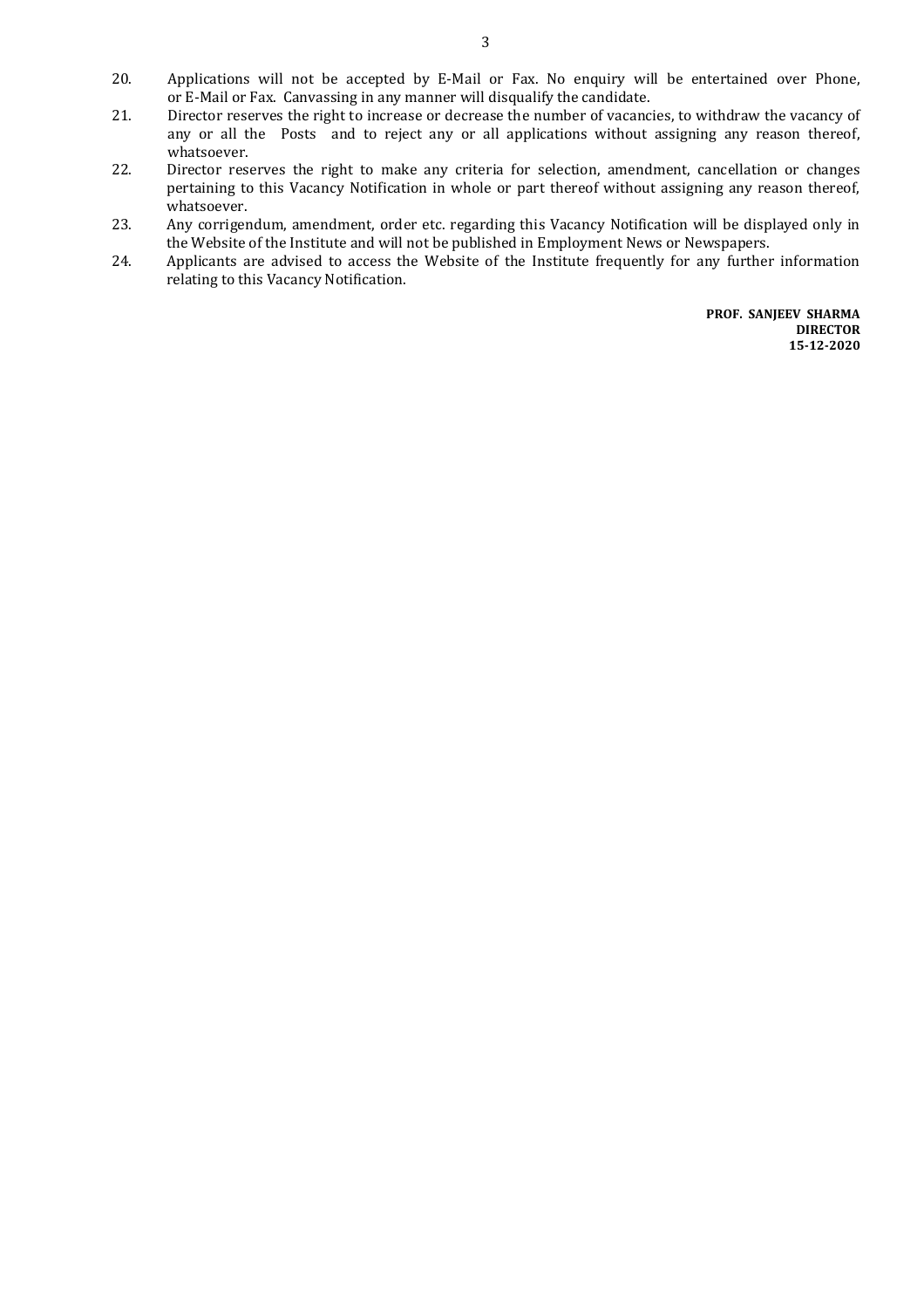- 20. Applications will not be accepted by E-Mail or Fax. No enquiry will be entertained over Phone, or E-Mail or Fax. Canvassing in any manner will disqualify the candidate.
- 21. Director reserves the right to increase or decrease the number of vacancies, to withdraw the vacancy of any or all the Posts and to reject any or all applications without assigning any reason thereof,
- whatsoever.<br>22. Director rese Director reserves the right to make any criteria for selection, amendment, cancellation or changes pertaining to this Vacancy Notification in whole or part thereof without assigning any reason thereof, whatsoever.
- 23. Any corrigendum, amendment, order etc. regarding this Vacancy Notification will be displayed only in the Website of the Institute and will not be published in Employment News or Newspapers.
- 24. Applicants are advised to access the Website of the Institute frequently for any further information relating to this Vacancy Notification.

**PROF. SANJEEV SHARMA DIRECTOR 15-12-2020**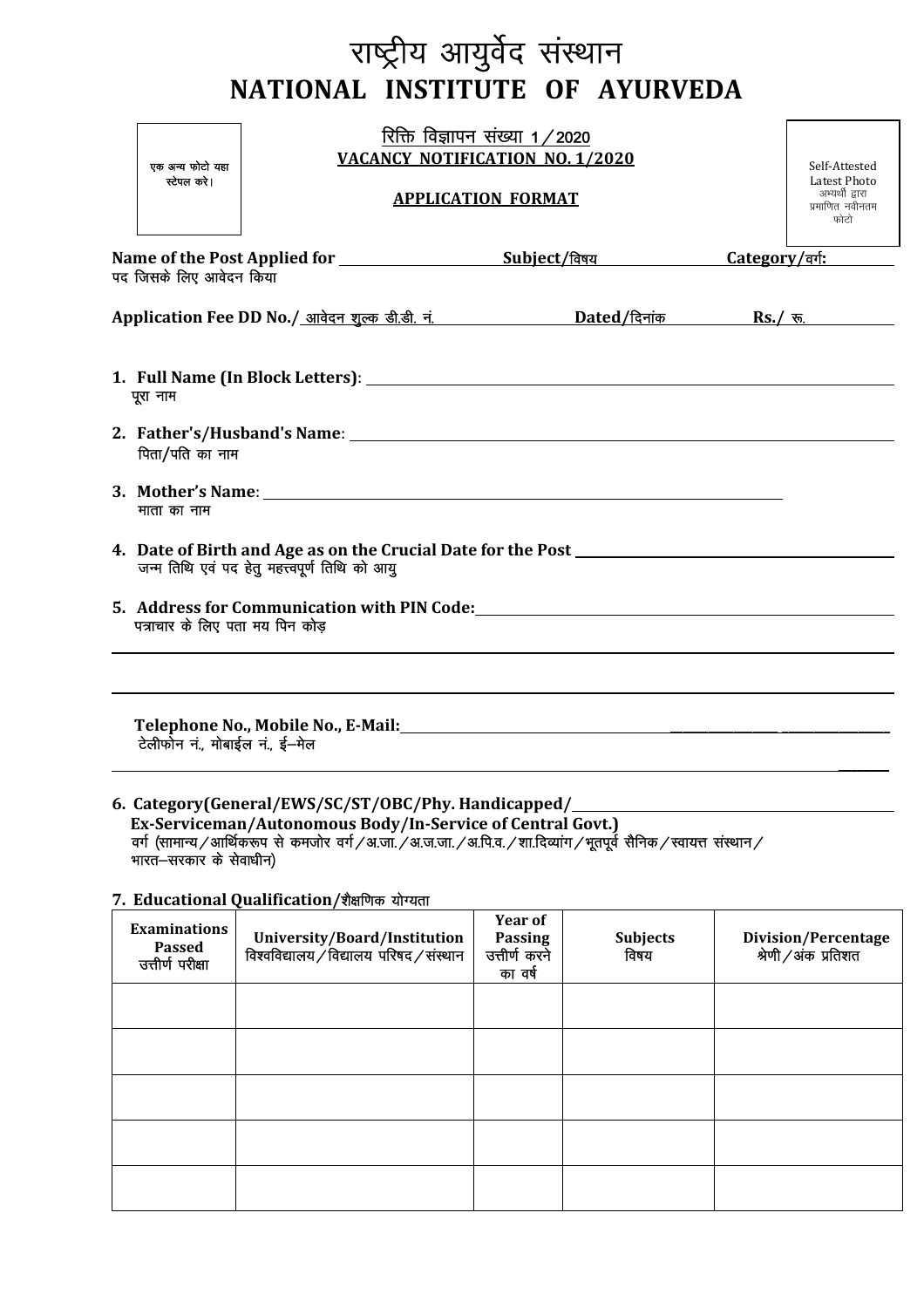# राष्ट्रीय आयुर्वेद संस्थान NATIONAL INSTITUTE OF AYURVEDA

|                                                                                                                                                                                     | एक अन्य फोटो यहा<br>स्टेपल करे। | रिक्ति विज्ञापन संख्या 1/2020<br><b>VACANCY NOTIFICATION NO. 1/2020</b><br><b>APPLICATION FORMAT</b> |  |  | Self-Attested<br>Latest Photo<br>अभ्यर्थी द्वारा<br>प्रमाणित नवीनतम<br>फोटो                                      |  |                |
|-------------------------------------------------------------------------------------------------------------------------------------------------------------------------------------|---------------------------------|------------------------------------------------------------------------------------------------------|--|--|------------------------------------------------------------------------------------------------------------------|--|----------------|
| पद जिसके लिए आवेदन किया                                                                                                                                                             |                                 |                                                                                                      |  |  |                                                                                                                  |  | Category/वर्गः |
|                                                                                                                                                                                     |                                 |                                                                                                      |  |  |                                                                                                                  |  |                |
| पूरा नाम<br>पिता/पति का नाम                                                                                                                                                         |                                 |                                                                                                      |  |  |                                                                                                                  |  |                |
| माता का नाम<br>4. Date of Birth and Age as on the Crucial Date for the Post ___________________<br>जन्म तिथि एवं पद हेतू महत्त्वपूर्ण तिथि को आयु<br>पत्राचार के लिए पता मय पिन कोड |                                 |                                                                                                      |  |  |                                                                                                                  |  |                |
|                                                                                                                                                                                     |                                 |                                                                                                      |  |  |                                                                                                                  |  |                |
|                                                                                                                                                                                     |                                 | टेलीफोन नं., मोबाईल नं., ई-मेल                                                                       |  |  | Telephone No., Mobile No., E-Mail: \\contact \\contact \\contact \\contact \\contact \\contact \\contact \\conta |  |                |

### 6. Category(General/EWS/SC/ST/OBC/Phy. Handicapped/ भारत—सरकार के सेवाधीन)

#### 7. Educational Qualification/शैक्षणिक योग्यता

| <b>Examinations</b><br><b>Passed</b><br>उत्तीर्ण परीक्षा | University/Board/Institution<br>विश्वविद्यालय/विद्यालय परिषद/संस्थान | <b>Year of</b><br>Passing<br>उत्तीर्ण करने<br>का वर्ष | <b>Subjects</b><br>विषय | Division/Percentage<br>श्रेणी/अंक प्रतिशत |
|----------------------------------------------------------|----------------------------------------------------------------------|-------------------------------------------------------|-------------------------|-------------------------------------------|
|                                                          |                                                                      |                                                       |                         |                                           |
|                                                          |                                                                      |                                                       |                         |                                           |
|                                                          |                                                                      |                                                       |                         |                                           |
|                                                          |                                                                      |                                                       |                         |                                           |
|                                                          |                                                                      |                                                       |                         |                                           |